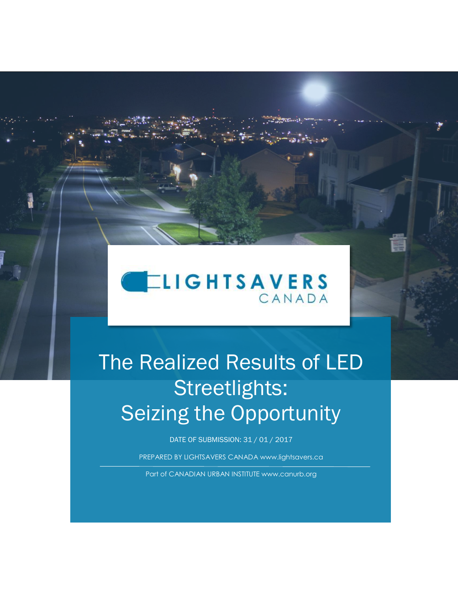

# The Realized Results of LED Streetlights: **Seizing the Opportunity**

DATE OF SUBMISSION: 31 / 01 / 2017

PREPARED BY LIGHTSAVERS CANADA www.lightsavers.ca

Part of CANADIAN URBAN INSTITUTE www.canurb.org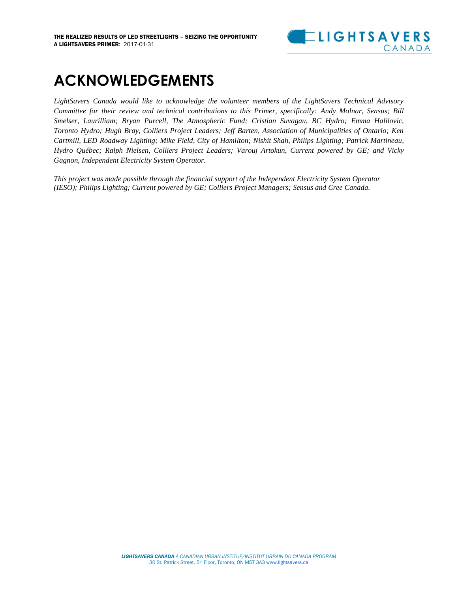

### **ACKNOWLEDGEMENTS**

*LightSavers Canada would like to acknowledge the volunteer members of the LightSavers Technical Advisory Committee for their review and technical contributions to this Primer, specifically: Andy Molnar, Sensus; Bill Smelser, Laurilliam; Bryan Purcell, The Atmospheric Fund; Cristian Suvagau, BC Hydro; Emma Halilovic, Toronto Hydro; Hugh Bray, Colliers Project Leaders; Jeff Barten, Association of Municipalities of Ontario; Ken Cartmill, LED Roadway Lighting; Mike Field, City of Hamilton; Nishit Shah, Philips Lighting; Patrick Martineau, Hydro Québec; Ralph Nielsen, Colliers Project Leaders; Varouj Artokun, Current powered by GE; and Vicky Gagnon, Independent Electricity System Operator.*

*This project was made possible through the financial support of the Independent Electricity System Operator (IESO); Philips Lighting; Current powered by GE; Colliers Project Managers; Sensus and Cree Canada.*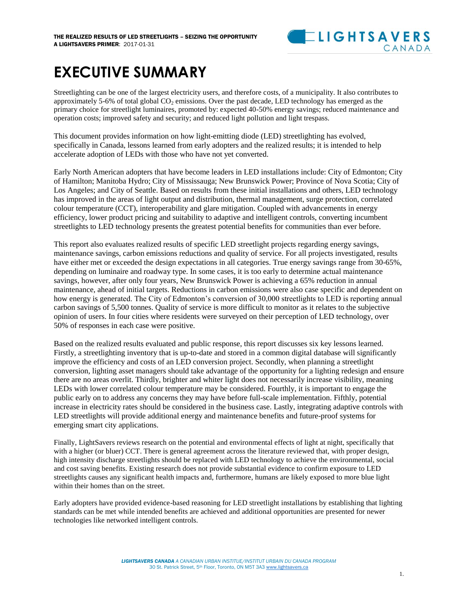

### **EXECUTIVE SUMMARY**

Streetlighting can be one of the largest electricity users, and therefore costs, of a municipality. It also contributes to approximately 5-6% of total global  $CO<sub>2</sub>$  emissions. Over the past decade, LED technology has emerged as the primary choice for streetlight luminaires, promoted by: expected 40-50% energy savings; reduced maintenance and operation costs; improved safety and security; and reduced light pollution and light trespass.

This document provides information on how light-emitting diode (LED) streetlighting has evolved, specifically in Canada, lessons learned from early adopters and the realized results; it is intended to help accelerate adoption of LEDs with those who have not yet converted.

Early North American adopters that have become leaders in LED installations include: City of Edmonton; City of Hamilton; Manitoba Hydro; City of Mississauga; New Brunswick Power; Province of Nova Scotia; City of Los Angeles; and City of Seattle. Based on results from these initial installations and others, LED technology has improved in the areas of light output and distribution, thermal management, surge protection, correlated colour temperature (CCT), interoperability and glare mitigation. Coupled with advancements in energy efficiency, lower product pricing and suitability to adaptive and intelligent controls, converting incumbent streetlights to LED technology presents the greatest potential benefits for communities than ever before.

This report also evaluates realized results of specific LED streetlight projects regarding energy savings, maintenance savings, carbon emissions reductions and quality of service. For all projects investigated, results have either met or exceeded the design expectations in all categories. True energy savings range from 30-65%, depending on luminaire and roadway type. In some cases, it is too early to determine actual maintenance savings, however, after only four years, New Brunswick Power is achieving a 65% reduction in annual maintenance, ahead of initial targets. Reductions in carbon emissions were also case specific and dependent on how energy is generated. The City of Edmonton's conversion of 30,000 streetlights to LED is reporting annual carbon savings of 5,500 tonnes. Quality of service is more difficult to monitor as it relates to the subjective opinion of users. In four cities where residents were surveyed on their perception of LED technology, over 50% of responses in each case were positive.

Based on the realized results evaluated and public response, this report discusses six key lessons learned. Firstly, a streetlighting inventory that is up-to-date and stored in a common digital database will significantly improve the efficiency and costs of an LED conversion project. Secondly, when planning a streetlight conversion, lighting asset managers should take advantage of the opportunity for a lighting redesign and ensure there are no areas overlit. Thirdly, brighter and whiter light does not necessarily increase visibility, meaning LEDs with lower correlated colour temperature may be considered. Fourthly, it is important to engage the public early on to address any concerns they may have before full-scale implementation. Fifthly, potential increase in electricity rates should be considered in the business case. Lastly, integrating adaptive controls with LED streetlights will provide additional energy and maintenance benefits and future-proof systems for emerging smart city applications.

Finally, LightSavers reviews research on the potential and environmental effects of light at night, specifically that with a higher (or bluer) CCT. There is general agreement across the literature reviewed that, with proper design, high intensity discharge streetlights should be replaced with LED technology to achieve the environmental, social and cost saving benefits. Existing research does not provide substantial evidence to confirm exposure to LED streetlights causes any significant health impacts and, furthermore, humans are likely exposed to more blue light within their homes than on the street.

Early adopters have provided evidence-based reasoning for LED streetlight installations by establishing that lighting standards can be met while intended benefits are achieved and additional opportunities are presented for newer technologies like networked intelligent controls.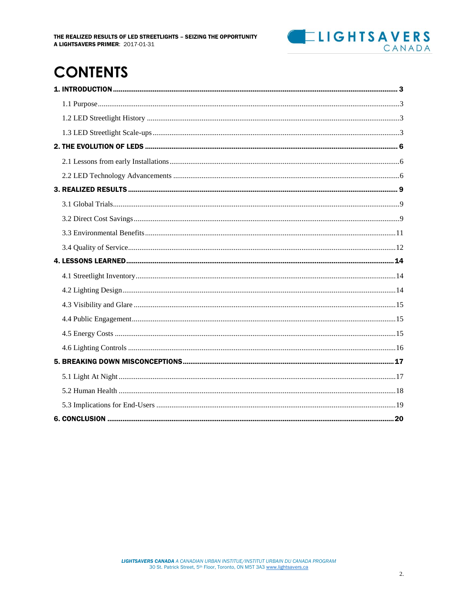

### **CONTENTS**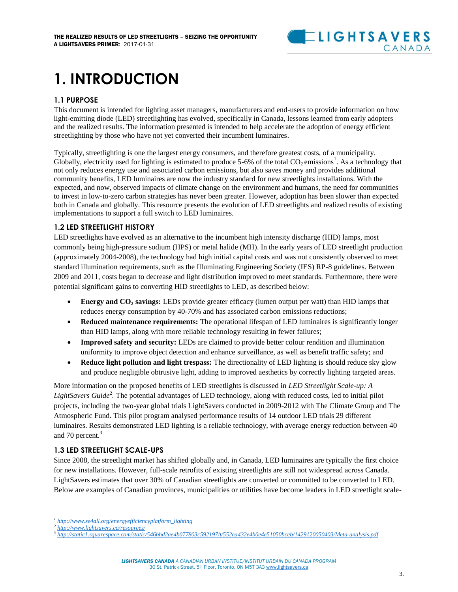### **ELIGHTSAVERS** CANADA

## <span id="page-4-0"></span>**1. INTRODUCTION**

#### <span id="page-4-1"></span>**1.1 PURPOSE**

This document is intended for lighting asset managers, manufacturers and end-users to provide information on how light-emitting diode (LED) streetlighting has evolved, specifically in Canada, lessons learned from early adopters and the realized results. The information presented is intended to help accelerate the adoption of energy efficient streetlighting by those who have not yet converted their incumbent luminaires.

Typically, streetlighting is one the largest energy consumers, and therefore greatest costs, of a municipality. Globally, electricity used for lighting is estimated to produce 5-6% of the total  $CO_2$  emissions<sup>1</sup>. As a technology that not only reduces energy use and associated carbon emissions, but also saves money and provides additional community benefits, LED luminaires are now the industry standard for new streetlights installations. With the expected, and now, observed impacts of climate change on the environment and humans, the need for communities to invest in low-to-zero carbon strategies has never been greater. However, adoption has been slower than expected both in Canada and globally. This resource presents the evolution of LED streetlights and realized results of existing implementations to support a full switch to LED luminaires.

#### <span id="page-4-2"></span>**1.2 LED STREETLIGHT HISTORY**

LED streetlights have evolved as an alternative to the incumbent high intensity discharge (HID) lamps, most commonly being high-pressure sodium (HPS) or metal halide (MH). In the early years of LED streetlight production (approximately 2004-2008), the technology had high initial capital costs and was not consistently observed to meet standard illumination requirements, such as the Illuminating Engineering Society (IES) RP-8 guidelines. Between 2009 and 2011, costs began to decrease and light distribution improved to meet standards. Furthermore, there were potential significant gains to converting HID streetlights to LED, as described below:

- **Energy and CO<sup>2</sup> savings:** LEDs provide greater efficacy (lumen output per watt) than HID lamps that reduces energy consumption by 40-70% and has associated carbon emissions reductions;
- **Reduced maintenance requirements:** The operational lifespan of LED luminaires is significantly longer than HID lamps, along with more reliable technology resulting in fewer failures;
- **Improved safety and security:** LEDs are claimed to provide better colour rendition and illumination uniformity to improve object detection and enhance surveillance, as well as benefit traffic safety; and
- **Reduce light pollution and light trespass:** The directionality of LED lighting is should reduce sky glow and produce negligible obtrusive light, adding to improved aesthetics by correctly lighting targeted areas.

More information on the proposed benefits of LED streetlights is discussed in *LED Streetlight Scale-up: A* LightSavers Guide<sup>2</sup>. The potential advantages of LED technology, along with reduced costs, led to initial pilot projects, including the two-year global trials LightSavers conducted in 2009-2012 with The Climate Group and The Atmospheric Fund. This pilot program analysed performance results of 14 outdoor LED trials 29 different luminaires. Results demonstrated LED lighting is a reliable technology, with average energy reduction between 40 and 70 percent.<sup>3</sup>

#### <span id="page-4-3"></span>**1.3 LED STREETLIGHT SCALE-UPS**

Since 2008, the streetlight market has shifted globally and, in Canada, LED luminaires are typically the first choice for new installations. However, full-scale retrofits of existing streetlights are still not widespread across Canada. LightSavers estimates that over 30% of Canadian streetlights are converted or committed to be converted to LED. Below are examples of Canadian provinces, municipalities or utilities have become leaders in LED streetlight scale-

 $\overline{a}$ *1 [http://www.se4all.org/energyefficiencyplatform\\_lighting](http://www.se4all.org/energyefficiencyplatform_lighting)*

*<sup>2</sup> <http://www.lightsavers.ca/resources/>*

*<sup>3</sup> <http://static1.squarespace.com/static/546bbd2ae4b077803c592197/t/552ea432e4b0e4e51050bceb/1429120050403/Meta-analysis.pdf>*

*LIGHTSAVERS CANADA A CANADIAN URBAN INSTITUE/INSTITUT URBAIN DU CANADA PROGRAM* 30 St. Patrick Street, 5th Floor, Toronto, ON M5T 3A[3 www.lightsavers.ca](http://www.lightsavers.ca/)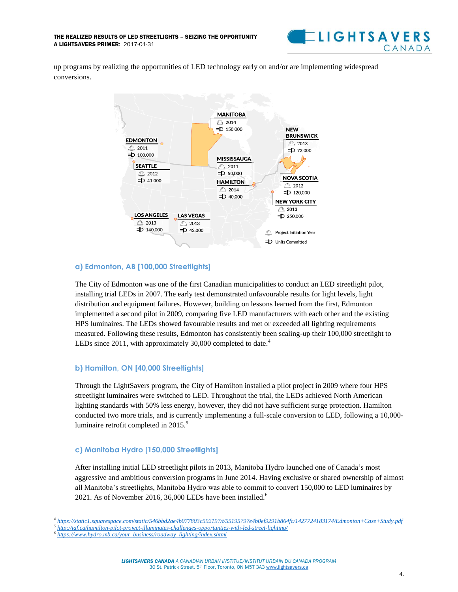

up programs by realizing the opportunities of LED technology early on and/or are implementing widespread conversions.



#### **a) Edmonton, AB [100,000 Streetlights]**

The City of Edmonton was one of the first Canadian municipalities to conduct an LED streetlight pilot, installing trial LEDs in 2007. The early test demonstrated unfavourable results for light levels, light distribution and equipment failures. However, building on lessons learned from the first, Edmonton implemented a second pilot in 2009, comparing five LED manufacturers with each other and the existing HPS luminaires. The LEDs showed favourable results and met or exceeded all lighting requirements measured. Following these results, Edmonton has consistently been scaling-up their 100,000 streetlight to LEDs since 2011, with approximately 30,000 completed to date.<sup>4</sup>

#### **b) Hamilton, ON [40,000 Streetlights]**

Through the LightSavers program, the City of Hamilton installed a pilot project in 2009 where four HPS streetlight luminaires were switched to LED. Throughout the trial, the LEDs achieved North American lighting standards with 50% less energy, however, they did not have sufficient surge protection. Hamilton conducted two more trials, and is currently implementing a full-scale conversion to LED, following a 10,000 luminaire retrofit completed in  $2015$ .<sup>5</sup>

#### **c) Manitoba Hydro [150,000 Streetlights]**

After installing initial LED streetlight pilots in 2013, Manitoba Hydro launched one of Canada's most aggressive and ambitious conversion programs in June 2014. Having exclusive or shared ownership of almost all Manitoba's streetlights, Manitoba Hydro was able to commit to convert 150,000 to LED luminaires by 2021. As of November 2016, 36,000 LEDs have been installed.<sup>6</sup>

*LIGHTSAVERS CANADA A CANADIAN URBAN INSTITUE/INSTITUT URBAIN DU CANADA PROGRAM* 30 St. Patrick Street, 5th Floor, Toronto, ON M5T 3A[3 www.lightsavers.ca](http://www.lightsavers.ca/)

 $\overline{a}$ *4 <https://static1.squarespace.com/static/546bbd2ae4b077803c592197/t/55195797e4b0ef9291b864fc/1427724183174/Edmonton+Case+Study.pdf>*

*<sup>5</sup> <http://taf.ca/hamilton-pilot-project-illuminates-challenges-opportunties-with-led-street-lighting/>*

*<sup>6</sup> [https://www.hydro.mb.ca/your\\_business/roadway\\_lighting/index.shtml](https://www.hydro.mb.ca/your_business/roadway_lighting/index.shtml)*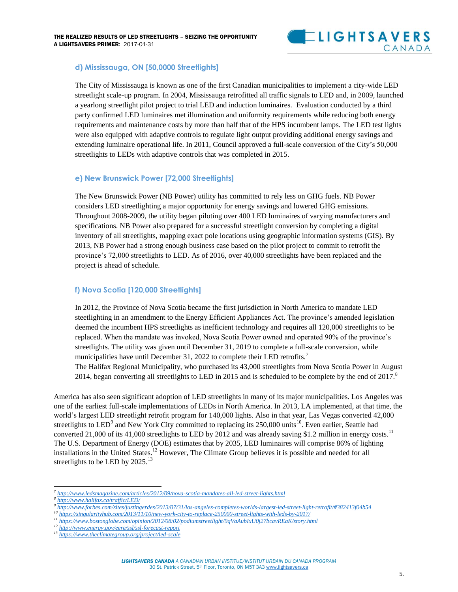#### **d) Mississauga, ON [50,0000 Streetlights]**

The City of Mississauga is known as one of the first Canadian municipalities to implement a city-wide LED streetlight scale-up program. In 2004, Mississauga retrofitted all traffic signals to LED and, in 2009, launched a yearlong streetlight pilot project to trial LED and induction luminaires. Evaluation conducted by a third party confirmed LED luminaires met illumination and uniformity requirements while reducing both energy requirements and maintenance costs by more than half that of the HPS incumbent lamps. The LED test lights were also equipped with adaptive controls to regulate light output providing additional energy savings and extending luminaire operational life. In 2011, Council approved a full-scale conversion of the City's 50,000 streetlights to LEDs with adaptive controls that was completed in 2015.

#### **e) New Brunswick Power [72,000 Streetlights]**

The New Brunswick Power (NB Power) utility has committed to rely less on GHG fuels. NB Power considers LED streetlighting a major opportunity for energy savings and lowered GHG emissions. Throughout 2008-2009, the utility began piloting over 400 LED luminaires of varying manufacturers and specifications. NB Power also prepared for a successful streetlight conversion by completing a digital inventory of all streetlights, mapping exact pole locations using geographic information systems (GIS). By 2013, NB Power had a strong enough business case based on the pilot project to commit to retrofit the province's 72,000 streetlights to LED. As of 2016, over 40,000 streetlights have been replaced and the project is ahead of schedule.

#### **f) Nova Scotia [120,000 Streetlights]**

In 2012, the Province of Nova Scotia became the first jurisdiction in North America to mandate LED steetlighting in an amendment to the Energy Efficient Appliances Act. The province's amended legislation deemed the incumbent HPS streetlights as inefficient technology and requires all 120,000 streetlights to be replaced. When the mandate was invoked, Nova Scotia Power owned and operated 90% of the province's streetlights. The utility was given until December 31, 2019 to complete a full-scale conversion, while municipalities have until December 31, 2022 to complete their LED retrofits.<sup>7</sup> The Halifax Regional Municipality, who purchased its 43,000 streetlights from Nova Scotia Power in August 2014, began converting all streetlights to LED in 2015 and is scheduled to be complete by the end of  $2017$ .<sup>8</sup>

America has also seen significant adoption of LED streetlights in many of its major municipalities. Los Angeles was one of the earliest full-scale implementations of LEDs in North America. In 2013, LA implemented, at that time, the world's largest LED streetlight retrofit program for 140,000 lights. Also in that year, Las Vegas converted 42,000 streetlights to LED<sup>9</sup> and New York City committed to replacing its 250,000 units<sup>10</sup>. Even earlier, Seattle had converted 21,000 of its 41,000 streetlights to LED by 2012 and was already saving \$1.2 million in energy costs.<sup>11</sup> The U.S. Department of Energy (DOE) estimates that by 2035, LED luminaires will comprise 86% of lighting installations in the United States.<sup>12</sup> However, The Climate Group believes it is possible and needed for all streetlights to be LED by  $2025$ .<sup>13</sup>

*8 <http://www.halifax.ca/traffic/LED/>*

 $\overline{a}$ 

- *<sup>12</sup> <http://www.energy.gov/eere/ssl/ssl-forecast-report>*
- *<sup>13</sup> <https://www.theclimategroup.org/project/led-scale>*

*<sup>7</sup> <http://www.ledsmagazine.com/articles/2012/09/nova-scotia-mandates-all-led-street-lights.html>*

*<sup>9</sup> <http://www.forbes.com/sites/justingerdes/2013/07/31/los-angeles-completes-worlds-largest-led-street-light-retrofit/#382413f04b54>*

*<sup>10</sup> <https://singularityhub.com/2013/11/10/new-york-city-to-replace-250000-street-lights-with-leds-by-2017/>*

*<sup>11</sup> <https://www.bostonglobe.com/opinion/2012/08/02/podiumstreetlight/9qVaAubIxU0j27bcavREaK/story.html>*

*LIGHTSAVERS CANADA A CANADIAN URBAN INSTITUE/INSTITUT URBAIN DU CANADA PROGRAM* 30 St. Patrick Street, 5th Floor, Toronto, ON M5T 3A[3 www.lightsavers.ca](http://www.lightsavers.ca/)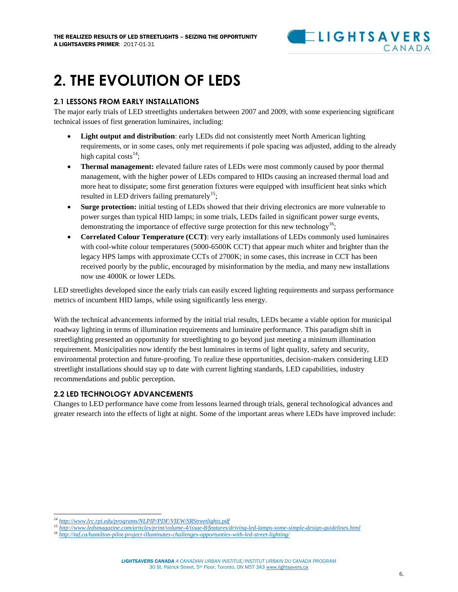

### <span id="page-7-0"></span>**2. THE EVOLUTION OF LEDS**

#### <span id="page-7-1"></span>**2.1 LESSONS FROM EARLY INSTALLATIONS**

The major early trials of LED streetlights undertaken between 2007 and 2009, with some experiencing significant technical issues of first generation luminaires, including:

- **Light output and distribution**: early LEDs did not consistently meet North American lighting requirements, or in some cases, only met requirements if pole spacing was adjusted, adding to the already high capital costs<sup>14</sup>;
- **Thermal management:** elevated failure rates of LEDs were most commonly caused by poor thermal management, with the higher power of LEDs compared to HIDs causing an increased thermal load and more heat to dissipate; some first generation fixtures were equipped with insufficient heat sinks which resulted in LED drivers failing prematurely<sup>15</sup>;
- **Surge protection:** initial testing of LEDs showed that their driving electronics are more vulnerable to power surges than typical HID lamps; in some trials, LEDs failed in significant power surge events, demonstrating the importance of effective surge protection for this new technology<sup>16</sup>;
- **Correlated Colour Temperature (CCT)**: very early installations of LEDs commonly used luminaires with cool-white colour temperatures (5000-6500K CCT) that appear much whiter and brighter than the legacy HPS lamps with approximate CCTs of 2700K; in some cases, this increase in CCT has been received poorly by the public, encouraged by misinformation by the media, and many new installations now use 4000K or lower LEDs.

LED streetlights developed since the early trials can easily exceed lighting requirements and surpass performance metrics of incumbent HID lamps, while using significantly less energy.

With the technical advancements informed by the initial trial results, LEDs became a viable option for municipal roadway lighting in terms of illumination requirements and luminaire performance. This paradigm shift in streetlighting presented an opportunity for streetlighting to go beyond just meeting a minimum illumination requirement. Municipalities now identify the best luminaires in terms of light quality, safety and security, environmental protection and future-proofing. To realize these opportunities, decision-makers considering LED streetlight installations should stay up to date with current lighting standards, LED capabilities, industry recommendations and public perception.

#### <span id="page-7-2"></span>**2.2 LED TECHNOLOGY ADVANCEMENTS**

Changes to LED performance have come from lessons learned through trials, general technological advances and greater research into the effects of light at night. Some of the important areas where LEDs have improved include:

 $\overline{a}$ *<sup>14</sup> <http://www.lrc.rpi.edu/programs/NLPIP/PDF/VIEW/SRStreetlights.pdf>*

*<sup>15</sup> <http://www.ledsmagazine.com/articles/print/volume-4/issue-8/features/driving-led-lamps-some-simple-design-guidelines.html>*

*<sup>16</sup> <http://taf.ca/hamilton-pilot-project-illuminates-challenges-opportunties-with-led-street-lighting/>*

*LIGHTSAVERS CANADA A CANADIAN URBAN INSTITUE/INSTITUT URBAIN DU CANADA PROGRAM* 30 St. Patrick Street, 5th Floor, Toronto, ON M5T 3A[3 www.lightsavers.ca](http://www.lightsavers.ca/)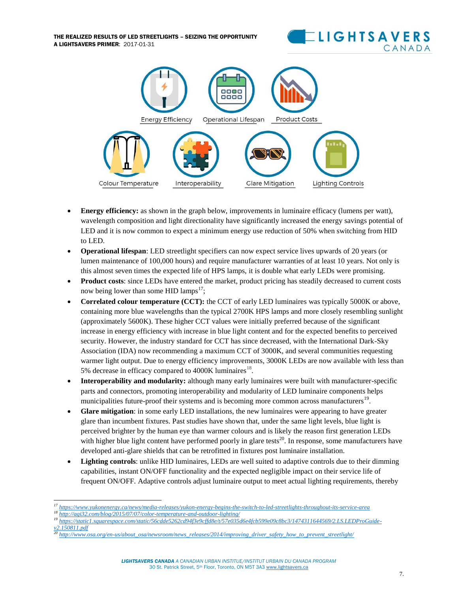THE REALIZED RESULTS OF LED STREETLIGHTS – SEIZING THE OPPORTUNITY A LIGHTSAVERS PRIMER: 2017-01-31





- **Energy efficiency:** as shown in the graph below, improvements in luminaire efficacy (lumens per watt), wavelength composition and light directionality have significantly increased the energy savings potential of LED and it is now common to expect a minimum energy use reduction of 50% when switching from HID to LED.
- **Operational lifespan**: LED streetlight specifiers can now expect service lives upwards of 20 years (or lumen maintenance of 100,000 hours) and require manufacturer warranties of at least 10 years. Not only is this almost seven times the expected life of HPS lamps, it is double what early LEDs were promising.
- **Product costs**: since LEDs have entered the market, product pricing has steadily decreased to current costs now being lower than some HID lamps<sup>17</sup>;
- **Correlated colour temperature (CCT):** the CCT of early LED luminaires was typically 5000K or above, containing more blue wavelengths than the typical 2700K HPS lamps and more closely resembling sunlight (approximately 5600K). These higher CCT values were initially preferred because of the significant increase in energy efficiency with increase in blue light content and for the expected benefits to perceived security. However, the industry standard for CCT has since decreased, with the International Dark-Sky Association (IDA) now recommending a maximum CCT of 3000K, and several communities requesting warmer light output. Due to energy efficiency improvements, 3000K LEDs are now available with less than 5% decrease in efficacy compared to 4000K luminaires<sup>18</sup>.
- **Interoperability and modularity:** although many early luminaires were built with manufacturer-specific parts and connectors, promoting interoperability and modularity of LED luminaire components helps municipalities future-proof their systems and is becoming more common across manufacturers<sup>19</sup>.
- **Glare mitigation**: in some early LED installations, the new luminaires were appearing to have greater glare than incumbent fixtures. Past studies have shown that, under the same light levels, blue light is perceived brighter by the human eye than warmer colours and is likely the reason first generation LEDs with higher blue light content have performed poorly in glare tests<sup>20</sup>. In response, some manufacturers have developed anti-glare shields that can be retrofitted in fixtures post luminaire installation.
- **Lighting controls**: unlike HID luminaires, LEDs are well suited to adaptive controls due to their dimming capabilities, instant ON/OFF functionality and the expected negligible impact on their service life of frequent ON/OFF. Adaptive controls adjust luminaire output to meet actual lighting requirements, thereby

- *<sup>18</sup> <http://agi32.com/blog/2015/07/07/color-temperature-and-outdoor-lighting/>*
- *<sup>19</sup> [https://static1.squarespace.com/static/56cdde5262cd94f3e9cffd8e/t/57e035d6e4fcb599e09c8bc3/1474311644569/2.LS.LEDProGuide](https://static1.squarespace.com/static/56cdde5262cd94f3e9cffd8e/t/57e035d6e4fcb599e09c8bc3/1474311644569/2.LS.LEDProGuide-v2.150811.pdf)[v2.150811.pdf](https://static1.squarespace.com/static/56cdde5262cd94f3e9cffd8e/t/57e035d6e4fcb599e09c8bc3/1474311644569/2.LS.LEDProGuide-v2.150811.pdf)*
- *<sup>20</sup> [http://www.osa.org/en-us/about\\_osa/newsroom/news\\_releases/2014/improving\\_driver\\_safety\\_how\\_to\\_prevent\\_streetlight/](http://www.osa.org/en-us/about_osa/newsroom/news_releases/2014/improving_driver_safety_how_to_prevent_streetlight/)*

 $\overline{a}$ *<sup>17</sup> <https://www.yukonenergy.ca/news/media-releases/yukon-energy-begins-the-switch-to-led-streetlights-throughout-its-service-area>*

*LIGHTSAVERS CANADA A CANADIAN URBAN INSTITUE/INSTITUT URBAIN DU CANADA PROGRAM* 30 St. Patrick Street, 5th Floor, Toronto, ON M5T 3A[3 www.lightsavers.ca](http://www.lightsavers.ca/)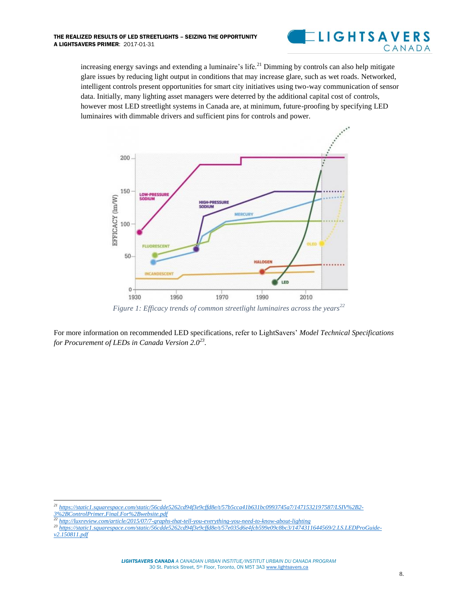

increasing energy savings and extending a luminaire's life.<sup>21</sup> Dimming by controls can also help mitigate glare issues by reducing light output in conditions that may increase glare, such as wet roads. Networked, intelligent controls present opportunities for smart city initiatives using two-way communication of sensor data. Initially, many lighting asset managers were deterred by the additional capital cost of controls, however most LED streetlight systems in Canada are, at minimum, future-proofing by specifying LED luminaires with dimmable drivers and sufficient pins for controls and power.



*Figure 1: Efficacy trends of common streetlight luminaires across the years<sup>22</sup>*

For more information on recommended LED specifications, refer to LightSavers' *Model Technical Specifications for Procurement of LEDs in Canada Version 2.0<sup>23</sup> .*

 $\overline{a}$ 

*<sup>21</sup> [https://static1.squarespace.com/static/56cdde5262cd94f3e9cffd8e/t/57b5cca41b631bc0993745a7/1471532197587/LSIV%2B2-](https://static1.squarespace.com/static/56cdde5262cd94f3e9cffd8e/t/57b5cca41b631bc0993745a7/1471532197587/LSIV%2B2-3%2BControlPrimer.Final.For%2Bwebsite.pdf) [3%2BControlPrimer.Final.For%2Bwebsite.pdf](https://static1.squarespace.com/static/56cdde5262cd94f3e9cffd8e/t/57b5cca41b631bc0993745a7/1471532197587/LSIV%2B2-3%2BControlPrimer.Final.For%2Bwebsite.pdf)*

*<sup>22</sup> <http://luxreview.com/article/2015/07/7-graphs-that-tell-you-everything-you-need-to-know-about-lighting>*

*<sup>23</sup> [https://static1.squarespace.com/static/56cdde5262cd94f3e9cffd8e/t/57e035d6e4fcb599e09c8bc3/1474311644569/2.LS.LEDProGuide](https://static1.squarespace.com/static/56cdde5262cd94f3e9cffd8e/t/57e035d6e4fcb599e09c8bc3/1474311644569/2.LS.LEDProGuide-v2.150811.pdf)[v2.150811.pdf](https://static1.squarespace.com/static/56cdde5262cd94f3e9cffd8e/t/57e035d6e4fcb599e09c8bc3/1474311644569/2.LS.LEDProGuide-v2.150811.pdf)*

*LIGHTSAVERS CANADA A CANADIAN URBAN INSTITUE/INSTITUT URBAIN DU CANADA PROGRAM* 30 St. Patrick Street, 5th Floor, Toronto, ON M5T 3A[3 www.lightsavers.ca](http://www.lightsavers.ca/)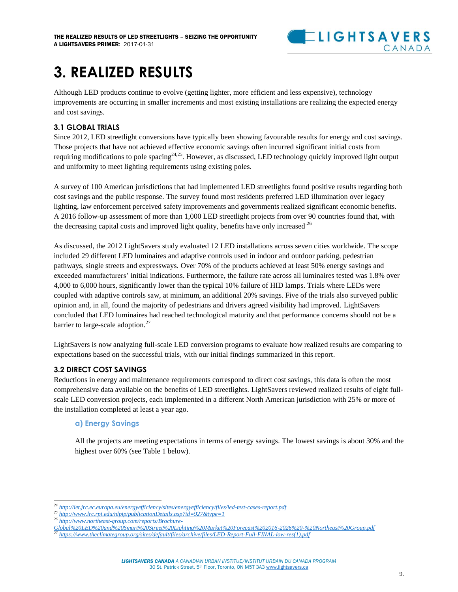

### <span id="page-10-0"></span>**3. REALIZED RESULTS**

Although LED products continue to evolve (getting lighter, more efficient and less expensive), technology improvements are occurring in smaller increments and most existing installations are realizing the expected energy and cost savings.

#### <span id="page-10-1"></span>**3.1 GLOBAL TRIALS**

Since 2012, LED streetlight conversions have typically been showing favourable results for energy and cost savings. Those projects that have not achieved effective economic savings often incurred significant initial costs from requiring modifications to pole spacing<sup>24,25</sup>. However, as discussed, LED technology quickly improved light output and uniformity to meet lighting requirements using existing poles.

A survey of 100 American jurisdictions that had implemented LED streetlights found positive results regarding both cost savings and the public response. The survey found most residents preferred LED illumination over legacy lighting, law enforcement perceived safety improvements and governments realized significant economic benefits. A 2016 follow-up assessment of more than 1,000 LED streetlight projects from over 90 countries found that, with the decreasing capital costs and improved light quality, benefits have only increased.<sup>26</sup>

As discussed, the 2012 LightSavers study evaluated 12 LED installations across seven cities worldwide. The scope included 29 different LED luminaires and adaptive controls used in indoor and outdoor parking, pedestrian pathways, single streets and expressways. Over 70% of the products achieved at least 50% energy savings and exceeded manufacturers' initial indications. Furthermore, the failure rate across all luminaires tested was 1.8% over 4,000 to 6,000 hours, significantly lower than the typical 10% failure of HID lamps. Trials where LEDs were coupled with adaptive controls saw, at minimum, an additional 20% savings. Five of the trials also surveyed public opinion and, in all, found the majority of pedestrians and drivers agreed visibility had improved. LightSavers concluded that LED luminaires had reached technological maturity and that performance concerns should not be a barrier to large-scale adoption.<sup>27</sup>

LightSavers is now analyzing full-scale LED conversion programs to evaluate how realized results are comparing to expectations based on the successful trials, with our initial findings summarized in this report.

#### <span id="page-10-2"></span>**3.2 DIRECT COST SAVINGS**

Reductions in energy and maintenance requirements correspond to direct cost savings, this data is often the most comprehensive data available on the benefits of LED streetlights. LightSavers reviewed realized results of eight fullscale LED conversion projects, each implemented in a different North American jurisdiction with 25% or more of the installation completed at least a year ago.

#### **a) Energy Savings**

All the projects are meeting expectations in terms of energy savings. The lowest savings is about 30% and the highest over 60% (see Table 1 below).

 $\overline{a}$ *<sup>24</sup> <http://iet.jrc.ec.europa.eu/energyefficiency/sites/energyefficiency/files/led-test-cases-report.pdf>*

*<sup>25</sup> <http://www.lrc.rpi.edu/nlpip/publicationDetails.asp?id=927&type=1>*

*<sup>26</sup> [http://www.northeast-group.com/reports/Brochure-](http://www.northeast-group.com/reports/Brochure-Global%20LED%20and%20Smart%20Street%20Lighting%20Market%20Forecast%202016-2026%20-%20Northeast%20Group.pdf)*

*[Global%20LED%20and%20Smart%20Street%20Lighting%20Market%20Forecast%202016-2026%20-%20Northeast%20Group.pdf](http://www.northeast-group.com/reports/Brochure-Global%20LED%20and%20Smart%20Street%20Lighting%20Market%20Forecast%202016-2026%20-%20Northeast%20Group.pdf)*

*<sup>27</sup> [https://www.theclimategroup.org/sites/default/files/archive/files/LED-Report-Full-FINAL-low-res\(1\).pdf](https://www.theclimategroup.org/sites/default/files/archive/files/LED-Report-Full-FINAL-low-res(1).pdf)*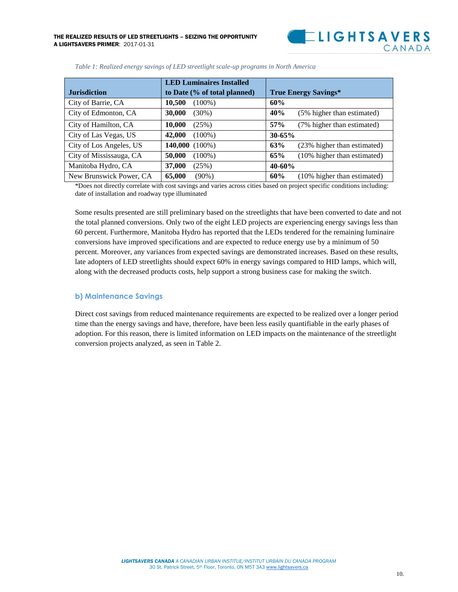

|                         | <b>LED Luminaires Installed</b> |                                    |  |
|-------------------------|---------------------------------|------------------------------------|--|
| <b>Jurisdiction</b>     | to Date (% of total planned)    | <b>True Energy Savings*</b>        |  |
| City of Barrie, CA      | 10,500<br>$(100\%)$             | 60%                                |  |
| City of Edmonton, CA    | <b>30,000</b><br>$(30\%)$       | 40%<br>(5% higher than estimated)  |  |
| City of Hamilton, CA    | 10,000<br>(25%)                 | 57%<br>(7% higher than estimated)  |  |
| City of Las Vegas, US   | 42,000<br>$(100\%)$             | $30 - 65%$                         |  |
| City of Los Angeles, US | $140,000(100\%)$                | 63%<br>(23% higher than estimated) |  |
| City of Mississauga, CA | 50,000<br>$(100\%)$             | 65%<br>(10% higher than estimated) |  |
| Manitoba Hydro, CA      | 37,000<br>(25%)                 | $40 - 60%$                         |  |
| New Brunswick Power, CA | 65,000<br>$(90\%)$              | 60%<br>(10% higher than estimated) |  |

*Table 1: Realized energy savings of LED streetlight scale-up programs in North America*

\*Does not directly correlate with cost savings and varies across cities based on project specific conditions including: date of installation and roadway type illuminated

Some results presented are still preliminary based on the streetlights that have been converted to date and not the total planned conversions. Only two of the eight LED projects are experiencing energy savings less than 60 percent. Furthermore, Manitoba Hydro has reported that the LEDs tendered for the remaining luminaire conversions have improved specifications and are expected to reduce energy use by a minimum of 50 percent. Moreover, any variances from expected savings are demonstrated increases. Based on these results, late adopters of LED streetlights should expect 60% in energy savings compared to HID lamps, which will, along with the decreased products costs, help support a strong business case for making the switch.

#### **b) Maintenance Savings**

Direct cost savings from reduced maintenance requirements are expected to be realized over a longer period time than the energy savings and have, therefore, have been less easily quantifiable in the early phases of adoption. For this reason, there is limited information on LED impacts on the maintenance of the streetlight conversion projects analyzed, as seen in Table 2.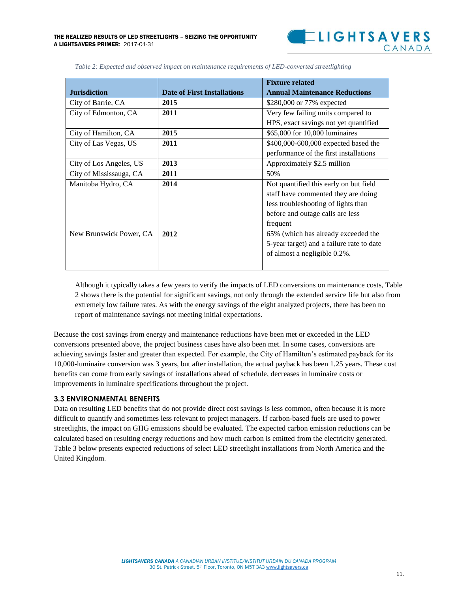

|                         |                                    | <b>Fixture related</b>                    |  |
|-------------------------|------------------------------------|-------------------------------------------|--|
| <b>Jurisdiction</b>     | <b>Date of First Installations</b> | <b>Annual Maintenance Reductions</b>      |  |
| City of Barrie, CA      | 2015                               | \$280,000 or 77% expected                 |  |
| City of Edmonton, CA    | 2011                               | Very few failing units compared to        |  |
|                         |                                    | HPS, exact savings not yet quantified     |  |
| City of Hamilton, CA    | 2015                               | \$65,000 for 10,000 luminaires            |  |
| City of Las Vegas, US   | 2011                               | \$400,000-600,000 expected based the      |  |
|                         |                                    | performance of the first installations    |  |
| City of Los Angeles, US | 2013                               | Approximately \$2.5 million               |  |
| City of Mississauga, CA | 2011                               | 50%                                       |  |
| Manitoba Hydro, CA      | 2014                               | Not quantified this early on but field    |  |
|                         |                                    | staff have commented they are doing       |  |
|                         |                                    | less troubleshooting of lights than       |  |
|                         |                                    | before and outage calls are less          |  |
|                         |                                    | frequent                                  |  |
| New Brunswick Power, CA | 2012                               | 65% (which has already exceeded the       |  |
|                         |                                    | 5-year target) and a failure rate to date |  |
|                         |                                    | of almost a negligible 0.2%.              |  |
|                         |                                    |                                           |  |

*Table 2: Expected and observed impact on maintenance requirements of LED-converted streetlighting*

Although it typically takes a few years to verify the impacts of LED conversions on maintenance costs, Table 2 shows there is the potential for significant savings, not only through the extended service life but also from extremely low failure rates. As with the energy savings of the eight analyzed projects, there has been no report of maintenance savings not meeting initial expectations.

Because the cost savings from energy and maintenance reductions have been met or exceeded in the LED conversions presented above, the project business cases have also been met. In some cases, conversions are achieving savings faster and greater than expected. For example, the City of Hamilton's estimated payback for its 10,000-luminaire conversion was 3 years, but after installation, the actual payback has been 1.25 years. These cost benefits can come from early savings of installations ahead of schedule, decreases in luminaire costs or improvements in luminaire specifications throughout the project.

#### <span id="page-12-0"></span>**3.3 ENVIRONMENTAL BENEFITS**

Data on resulting LED benefits that do not provide direct cost savings is less common, often because it is more difficult to quantify and sometimes less relevant to project managers. If carbon-based fuels are used to power streetlights, the impact on GHG emissions should be evaluated. The expected carbon emission reductions can be calculated based on resulting energy reductions and how much carbon is emitted from the electricity generated. Table 3 below presents expected reductions of select LED streetlight installations from North America and the United Kingdom.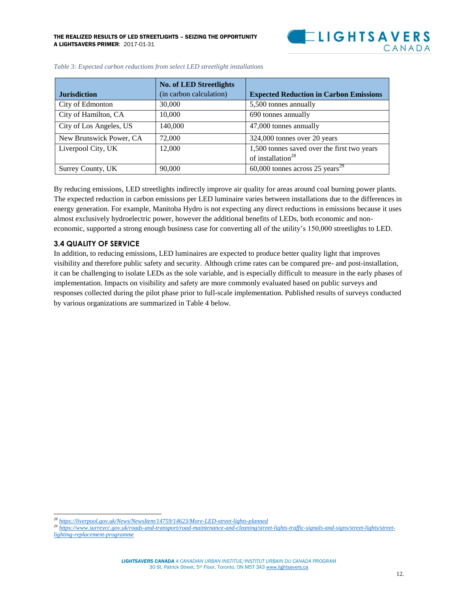

|                         | <b>No. of LED Streetlights</b> |                                               |
|-------------------------|--------------------------------|-----------------------------------------------|
| <b>Jurisdiction</b>     | (in carbon calculation)        | <b>Expected Reduction in Carbon Emissions</b> |
| City of Edmonton        | 30,000                         | 5,500 tonnes annually                         |
| City of Hamilton, CA    | 10,000                         | 690 tonnes annually                           |
| City of Los Angeles, US | 140,000                        | 47,000 tonnes annually                        |
| New Brunswick Power, CA | 72,000                         | 324,000 tonnes over 20 years                  |
| Liverpool City, UK      | 12,000                         | 1,500 tonnes saved over the first two years   |
|                         |                                | of installation <sup>28</sup>                 |
| Surrey County, UK       | 90,000                         | 60,000 tonnes across 25 years <sup>29</sup>   |

| Table 3: Expected carbon reductions from select LED streetlight installations |  |  |
|-------------------------------------------------------------------------------|--|--|
|-------------------------------------------------------------------------------|--|--|

By reducing emissions, LED streetlights indirectly improve air quality for areas around coal burning power plants. The expected reduction in carbon emissions per LED luminaire varies between installations due to the differences in energy generation. For example, Manitoba Hydro is not expecting any direct reductions in emissions because it uses almost exclusively hydroelectric power, however the additional benefits of LEDs, both economic and noneconomic, supported a strong enough business case for converting all of the utility's 150,000 streetlights to LED.

#### <span id="page-13-0"></span>**3.4 QUALITY OF SERVICE**

 $\overline{\phantom{a}}$ 

In addition, to reducing emissions, LED luminaires are expected to produce better quality light that improves visibility and therefore public safety and security. Although crime rates can be compared pre- and post-installation, it can be challenging to isolate LEDs as the sole variable, and is especially difficult to measure in the early phases of implementation. Impacts on visibility and safety are more commonly evaluated based on public surveys and responses collected during the pilot phase prior to full-scale implementation. Published results of surveys conducted by various organizations are summarized in Table 4 below.

*<sup>28</sup> <https://liverpool.gov.uk/News/NewsItem/14759/14623/More-LED-street-lights-planned>*

<sup>&</sup>lt;sup>29</sup> *[https://www.surreycc.gov.uk/roads-and-transport/road-maintenance-and-cleaning/street-lights-traffic-signals-and-signs/street-lights/street](https://www.surreycc.gov.uk/roads-and-transport/road-maintenance-and-cleaning/street-lights-traffic-signals-and-signs/street-lights/street-lighting-replacement-programme)[lighting-replacement-programme](https://www.surreycc.gov.uk/roads-and-transport/road-maintenance-and-cleaning/street-lights-traffic-signals-and-signs/street-lights/street-lighting-replacement-programme)*

*LIGHTSAVERS CANADA A CANADIAN URBAN INSTITUE/INSTITUT URBAIN DU CANADA PROGRAM* 30 St. Patrick Street, 5th Floor, Toronto, ON M5T 3A[3 www.lightsavers.ca](http://www.lightsavers.ca/)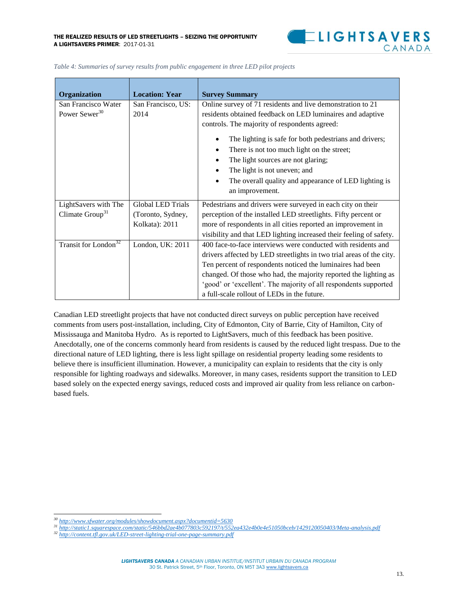

| Organization                                        | <b>Location: Year</b>                                           | <b>Survey Summary</b>                                                                                                                                                                                                                                                                                                                                                                                                                                              |
|-----------------------------------------------------|-----------------------------------------------------------------|--------------------------------------------------------------------------------------------------------------------------------------------------------------------------------------------------------------------------------------------------------------------------------------------------------------------------------------------------------------------------------------------------------------------------------------------------------------------|
| San Francisco Water<br>Power Sewer <sup>30</sup>    | San Francisco, US:<br>2014                                      | Online survey of 71 residents and live demonstration to 21<br>residents obtained feedback on LED luminaires and adaptive<br>controls. The majority of respondents agreed:<br>The lighting is safe for both pedestrians and drivers;<br>There is not too much light on the street;<br>٠<br>The light sources are not glaring;<br>$\bullet$<br>The light is not uneven; and<br>The overall quality and appearance of LED lighting is<br>$\bullet$<br>an improvement. |
| LightSavers with The<br>Climate Group <sup>31</sup> | <b>Global LED Trials</b><br>(Toronto, Sydney,<br>Kolkata): 2011 | Pedestrians and drivers were surveyed in each city on their<br>perception of the installed LED streetlights. Fifty percent or<br>more of respondents in all cities reported an improvement in<br>visibility and that LED lighting increased their feeling of safety.                                                                                                                                                                                               |
| Transit for London <sup>32</sup>                    | London, UK: 2011                                                | 400 face-to-face interviews were conducted with residents and<br>drivers affected by LED streetlights in two trial areas of the city.<br>Ten percent of respondents noticed the luminaires had been<br>changed. Of those who had, the majority reported the lighting as<br>'good' or 'excellent'. The majority of all respondents supported<br>a full-scale rollout of LEDs in the future.                                                                         |

|  | Table 4: Summaries of survey results from public engagement in three LED pilot projects |  |  |
|--|-----------------------------------------------------------------------------------------|--|--|
|--|-----------------------------------------------------------------------------------------|--|--|

Canadian LED streetlight projects that have not conducted direct surveys on public perception have received comments from users post-installation, including, City of Edmonton, City of Barrie, City of Hamilton, City of Mississauga and Manitoba Hydro. As is reported to LightSavers, much of this feedback has been positive. Anecdotally, one of the concerns commonly heard from residents is caused by the reduced light trespass. Due to the directional nature of LED lighting, there is less light spillage on residential property leading some residents to believe there is insufficient illumination. However, a municipality can explain to residents that the city is only responsible for lighting roadways and sidewalks. Moreover, in many cases, residents support the transition to LED based solely on the expected energy savings, reduced costs and improved air quality from less reliance on carbonbased fuels.

 $\overline{\phantom{a}}$ *<sup>30</sup> <http://www.sfwater.org/modules/showdocument.aspx?documentid=5630>*

*<sup>31</sup> <http://static1.squarespace.com/static/546bbd2ae4b077803c592197/t/552ea432e4b0e4e51050bceb/1429120050403/Meta-analysis.pdf>*

*<sup>32</sup> <http://content.tfl.gov.uk/LED-street-lighting-trial-one-page-summary.pdf>*

*LIGHTSAVERS CANADA A CANADIAN URBAN INSTITUE/INSTITUT URBAIN DU CANADA PROGRAM* 30 St. Patrick Street, 5th Floor, Toronto, ON M5T 3A[3 www.lightsavers.ca](http://www.lightsavers.ca/)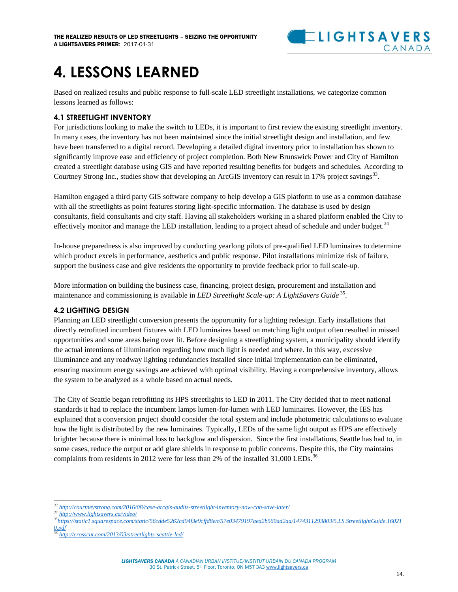

### <span id="page-15-0"></span>**4. LESSONS LEARNED**

Based on realized results and public response to full-scale LED streetlight installations, we categorize common lessons learned as follows:

#### <span id="page-15-1"></span>**4.1 STREETLIGHT INVENTORY**

For jurisdictions looking to make the switch to LEDs, it is important to first review the existing streetlight inventory. In many cases, the inventory has not been maintained since the initial streetlight design and installation, and few have been transferred to a digital record. Developing a detailed digital inventory prior to installation has shown to significantly improve ease and efficiency of project completion. Both New Brunswick Power and City of Hamilton created a streetlight database using GIS and have reported resulting benefits for budgets and schedules. According to Courtney Strong Inc., studies show that developing an ArcGIS inventory can result in 17% project savings<sup>33</sup>.

Hamilton engaged a third party GIS software company to help develop a GIS platform to use as a common database with all the streetlights as point features storing light-specific information. The database is used by design consultants, field consultants and city staff. Having all stakeholders working in a shared platform enabled the City to effectively monitor and manage the LED installation, leading to a project ahead of schedule and under budget.<sup>34</sup>

In-house preparedness is also improved by conducting yearlong pilots of pre-qualified LED luminaires to determine which product excels in performance, aesthetics and public response. Pilot installations minimize risk of failure, support the business case and give residents the opportunity to provide feedback prior to full scale-up.

More information on building the business case, financing, project design, procurement and installation and maintenance and commissioning is available in *LED Streetlight Scale-up: A LightSavers Guide*<sup>35</sup>.

#### <span id="page-15-2"></span>**4.2 LIGHTING DESIGN**

Planning an LED streetlight conversion presents the opportunity for a lighting redesign. Early installations that directly retrofitted incumbent fixtures with LED luminaires based on matching light output often resulted in missed opportunities and some areas being over lit. Before designing a streetlighting system, a municipality should identify the actual intentions of illumination regarding how much light is needed and where. In this way, excessive illuminance and any roadway lighting redundancies installed since initial implementation can be eliminated, ensuring maximum energy savings are achieved with optimal visibility. Having a comprehensive inventory, allows the system to be analyzed as a whole based on actual needs.

The City of Seattle began retrofitting its HPS streetlights to LED in 2011. The City decided that to meet national standards it had to replace the incumbent lamps lumen-for-lumen with LED luminaires. However, the IES has explained that a conversion project should consider the total system and include photometric calculations to evaluate how the light is distributed by the new luminaires. Typically, LEDs of the same light output as HPS are effectively brighter because there is minimal loss to backglow and dispersion. Since the first installations, Seattle has had to, in some cases, reduce the output or add glare shields in response to public concerns. Despite this, the City maintains complaints from residents in 2012 were for less than 2% of the installed  $31,000$  LEDs.<sup>36</sup>

 $\overline{\phantom{a}}$ *<sup>33</sup> <http://courtneystrong.com/2016/08/case-arcgis-audits-streetlight-inventory-now-can-save-later/>*

*<sup>34</sup> <http://www.lightsavers.ca/video/>*

*<sup>35</sup>[https://static1.squarespace.com/static/56cdde5262cd94f3e9cffd8e/t/57e03479197aea2b560ad2aa/1474311293803/5.LS.StreetlightGuide.16021](https://static1.squarespace.com/static/56cdde5262cd94f3e9cffd8e/t/57e03479197aea2b560ad2aa/1474311293803/5.LS.StreetlightGuide.160210.pdf) [0.pdf](https://static1.squarespace.com/static/56cdde5262cd94f3e9cffd8e/t/57e03479197aea2b560ad2aa/1474311293803/5.LS.StreetlightGuide.160210.pdf)*

*<sup>36</sup> <http://crosscut.com/2013/03/streetlights-seattle-led/>*

*LIGHTSAVERS CANADA A CANADIAN URBAN INSTITUE/INSTITUT URBAIN DU CANADA PROGRAM* 30 St. Patrick Street, 5th Floor, Toronto, ON M5T 3A[3 www.lightsavers.ca](http://www.lightsavers.ca/)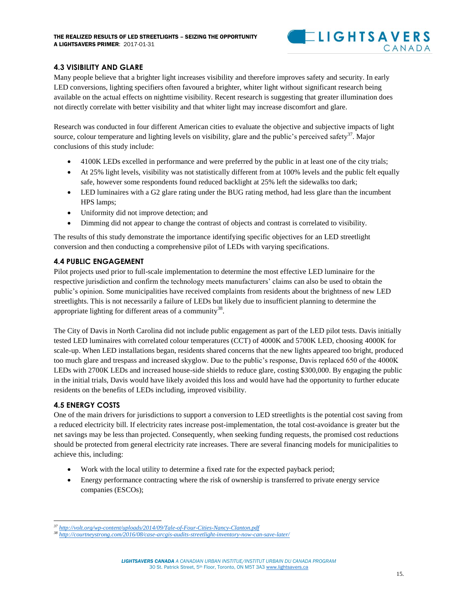

#### <span id="page-16-0"></span>**4.3 VISIBILITY AND GLARE**

Many people believe that a brighter light increases visibility and therefore improves safety and security. In early LED conversions, lighting specifiers often favoured a brighter, whiter light without significant research being available on the actual effects on nighttime visibility. Recent research is suggesting that greater illumination does not directly correlate with better visibility and that whiter light may increase discomfort and glare.

Research was conducted in four different American cities to evaluate the objective and subjective impacts of light source, colour temperature and lighting levels on visibility, glare and the public's perceived safety<sup>37</sup>. Major conclusions of this study include:

- 4100K LEDs excelled in performance and were preferred by the public in at least one of the city trials;
- At 25% light levels, visibility was not statistically different from at 100% levels and the public felt equally safe, however some respondents found reduced backlight at 25% left the sidewalks too dark;
- LED luminaires with a G2 glare rating under the BUG rating method, had less glare than the incumbent HPS lamps;
- Uniformity did not improve detection; and
- Dimming did not appear to change the contrast of objects and contrast is correlated to visibility.

The results of this study demonstrate the importance identifying specific objectives for an LED streetlight conversion and then conducting a comprehensive pilot of LEDs with varying specifications.

#### <span id="page-16-1"></span>**4.4 PUBLIC ENGAGEMENT**

Pilot projects used prior to full-scale implementation to determine the most effective LED luminaire for the respective jurisdiction and confirm the technology meets manufacturers' claims can also be used to obtain the public's opinion. Some municipalities have received complaints from residents about the brightness of new LED streetlights. This is not necessarily a failure of LEDs but likely due to insufficient planning to determine the appropriate lighting for different areas of a community<sup>38</sup>.

The City of Davis in North Carolina did not include public engagement as part of the LED pilot tests. Davis initially tested LED luminaires with correlated colour temperatures (CCT) of 4000K and 5700K LED, choosing 4000K for scale-up. When LED installations began, residents shared concerns that the new lights appeared too bright, produced too much glare and trespass and increased skyglow. Due to the public's response, Davis replaced 650 of the 4000K LEDs with 2700K LEDs and increased house-side shields to reduce glare, costing \$300,000. By engaging the public in the initial trials, Davis would have likely avoided this loss and would have had the opportunity to further educate residents on the benefits of LEDs including, improved visibility.

#### <span id="page-16-2"></span>**4.5 ENERGY COSTS**

One of the main drivers for jurisdictions to support a conversion to LED streetlights is the potential cost saving from a reduced electricity bill. If electricity rates increase post-implementation, the total cost-avoidance is greater but the net savings may be less than projected. Consequently, when seeking funding requests, the promised cost reductions should be protected from general electricity rate increases. There are several financing models for municipalities to achieve this, including:

- Work with the local utility to determine a fixed rate for the expected payback period;
- Energy performance contracting where the risk of ownership is transferred to private energy service companies (ESCOs);

 $\overline{a}$ *<sup>37</sup> <http://volt.org/wp-content/uploads/2014/09/Tale-of-Four-Cities-Nancy-Clanton.pdf>*

*<sup>38</sup> <http://courtneystrong.com/2016/08/case-arcgis-audits-streetlight-inventory-now-can-save-later/>*

*LIGHTSAVERS CANADA A CANADIAN URBAN INSTITUE/INSTITUT URBAIN DU CANADA PROGRAM* 30 St. Patrick Street, 5th Floor, Toronto, ON M5T 3A[3 www.lightsavers.ca](http://www.lightsavers.ca/)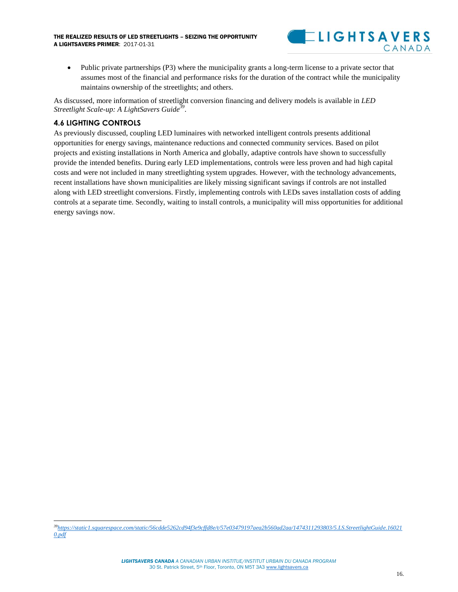

 Public private partnerships (P3) where the municipality grants a long-term license to a private sector that assumes most of the financial and performance risks for the duration of the contract while the municipality maintains ownership of the streetlights; and others.

As discussed, more information of streetlight conversion financing and delivery models is available in *LED Streetlight Scale-up: A LightSavers Guide<sup>39</sup>* .

#### <span id="page-17-0"></span>**4.6 LIGHTING CONTROLS**

As previously discussed, coupling LED luminaires with networked intelligent controls presents additional opportunities for energy savings, maintenance reductions and connected community services. Based on pilot projects and existing installations in North America and globally, adaptive controls have shown to successfully provide the intended benefits. During early LED implementations, controls were less proven and had high capital costs and were not included in many streetlighting system upgrades. However, with the technology advancements, recent installations have shown municipalities are likely missing significant savings if controls are not installed along with LED streetlight conversions. Firstly, implementing controls with LEDs saves installation costs of adding controls at a separate time. Secondly, waiting to install controls, a municipality will miss opportunities for additional energy savings now.

 $\overline{a}$ *<sup>39</sup>[https://static1.squarespace.com/static/56cdde5262cd94f3e9cffd8e/t/57e03479197aea2b560ad2aa/1474311293803/5.LS.StreetlightGuide.16021](https://static1.squarespace.com/static/56cdde5262cd94f3e9cffd8e/t/57e03479197aea2b560ad2aa/1474311293803/5.LS.StreetlightGuide.160210.pdf) [0.pdf](https://static1.squarespace.com/static/56cdde5262cd94f3e9cffd8e/t/57e03479197aea2b560ad2aa/1474311293803/5.LS.StreetlightGuide.160210.pdf)*

*LIGHTSAVERS CANADA A CANADIAN URBAN INSTITUE/INSTITUT URBAIN DU CANADA PROGRAM* 30 St. Patrick Street, 5th Floor, Toronto, ON M5T 3A[3 www.lightsavers.ca](http://www.lightsavers.ca/)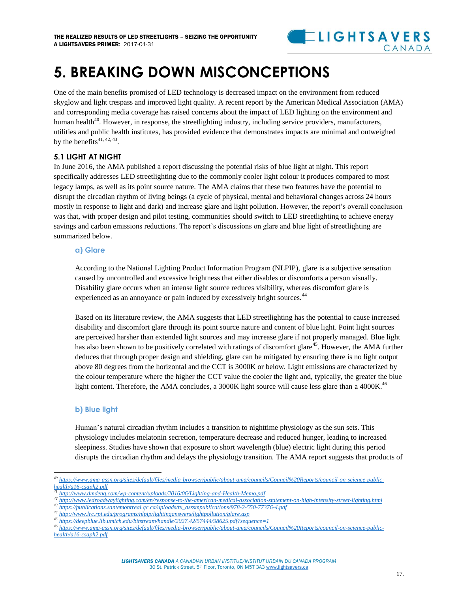

### <span id="page-18-0"></span>**5. BREAKING DOWN MISCONCEPTIONS**

One of the main benefits promised of LED technology is decreased impact on the environment from reduced skyglow and light trespass and improved light quality. A recent report by the American Medical Association (AMA) and corresponding media coverage has raised concerns about the impact of LED lighting on the environment and human health<sup>40</sup>. However, in response, the streetlighting industry, including service providers, manufacturers, utilities and public health institutes, has provided evidence that demonstrates impacts are minimal and outweighed by the benefits<sup>41, 42, 43</sup>.

#### <span id="page-18-1"></span>**5.1 LIGHT AT NIGHT**

In June 2016, the AMA published a report discussing the potential risks of blue light at night. This report specifically addresses LED streetlighting due to the commonly cooler light colour it produces compared to most legacy lamps, as well as its point source nature. The AMA claims that these two features have the potential to disrupt the circadian rhythm of living beings (a cycle of physical, mental and behavioral changes across 24 hours mostly in response to light and dark) and increase glare and light pollution. However, the report's overall conclusion was that, with proper design and pilot testing, communities should switch to LED streetlighting to achieve energy savings and carbon emissions reductions. The report's discussions on glare and blue light of streetlighting are summarized below.

#### **a) Glare**

According to the National Lighting Product Information Program (NLPIP), glare is a subjective sensation caused by uncontrolled and excessive brightness that either disables or discomforts a person visually. Disability glare occurs when an intense light source reduces visibility, whereas discomfort glare is experienced as an annoyance or pain induced by excessively bright sources.<sup>44</sup>

Based on its literature review, the AMA suggests that LED streetlighting has the potential to cause increased disability and discomfort glare through its point source nature and content of blue light. Point light sources are perceived harsher than extended light sources and may increase glare if not properly managed. Blue light has also been shown to be positively correlated with ratings of discomfort glare<sup>45</sup>. However, the AMA further deduces that through proper design and shielding, glare can be mitigated by ensuring there is no light output above 80 degrees from the horizontal and the CCT is 3000K or below. Light emissions are characterized by the colour temperature where the higher the CCT value the cooler the light and, typically, the greater the blue light content. Therefore, the AMA concludes, a 3000K light source will cause less glare than a 4000K.<sup>46</sup>

#### **b) Blue light**

l

Human's natural circadian rhythm includes a transition to nighttime physiology as the sun sets. This physiology includes melatonin secretion, temperature decrease and reduced hunger, leading to increased sleepiness. Studies have shown that exposure to short wavelength (blue) electric light during this period disrupts the circadian rhythm and delays the physiology transition. The AMA report suggests that products of

*<sup>40</sup> [https://www.ama-assn.org/sites/default/files/media-browser/public/about-ama/councils/Council%20Reports/council-on-science-public](https://www.ama-assn.org/sites/default/files/media-browser/public/about-ama/councils/Council%20Reports/council-on-science-public-health/a16-csaph2.pdf)[health/a16-csaph2.pdf](https://www.ama-assn.org/sites/default/files/media-browser/public/about-ama/councils/Council%20Reports/council-on-science-public-health/a16-csaph2.pdf)*

*<sup>41</sup> <http://www.dmdeng.com/wp-content/uploads/2016/06/Lighting-and-Health-Memo.pdf>*

*<sup>42</sup> <http://www.ledroadwaylighting.com/en/response-to-the-american-medical-association-statement-on-high-intensity-street-lighting.html>*

*<sup>43</sup> [https://publications.santemontreal.qc.ca/uploads/tx\\_asssmpublications/978-2-550-77376-4.pdf](https://publications.santemontreal.qc.ca/uploads/tx_asssmpublications/978-2-550-77376-4.pdf)*

*<sup>44</sup> <http://www.lrc.rpi.edu/programs/nlpip/lightinganswers/lightpollution/glare.asp>*

*<sup>45</sup> <https://deepblue.lib.umich.edu/bitstream/handle/2027.42/57444/98625.pdf?sequence=1>*

*<sup>46</sup> [https://www.ama-assn.org/sites/default/files/media-browser/public/about-ama/councils/Council%20Reports/council-on-science-public](https://www.ama-assn.org/sites/default/files/media-browser/public/about-ama/councils/Council%20Reports/council-on-science-public-health/a16-csaph2.pdf)[health/a16-csaph2.pdf](https://www.ama-assn.org/sites/default/files/media-browser/public/about-ama/councils/Council%20Reports/council-on-science-public-health/a16-csaph2.pdf)*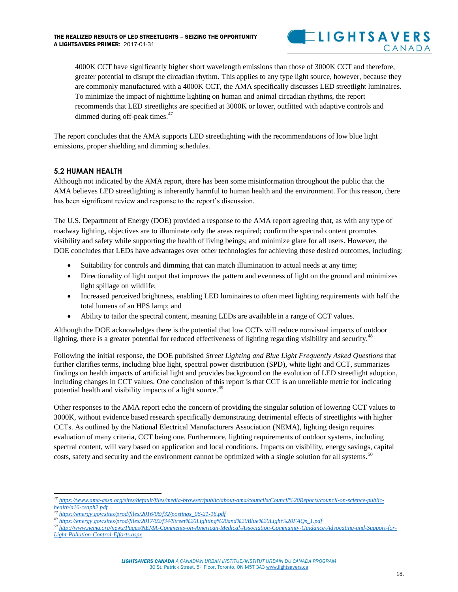

4000K CCT have significantly higher short wavelength emissions than those of 3000K CCT and therefore, greater potential to disrupt the circadian rhythm. This applies to any type light source, however, because they are commonly manufactured with a 4000K CCT, the AMA specifically discusses LED streetlight luminaires. To minimize the impact of nighttime lighting on human and animal circadian rhythms, the report recommends that LED streetlights are specified at 3000K or lower, outfitted with adaptive controls and dimmed during off-peak times. $47$ 

The report concludes that the AMA supports LED streetlighting with the recommendations of low blue light emissions, proper shielding and dimming schedules.

#### <span id="page-19-0"></span>**5.2 HUMAN HEALTH**

Although not indicated by the AMA report, there has been some misinformation throughout the public that the AMA believes LED streetlighting is inherently harmful to human health and the environment. For this reason, there has been significant review and response to the report's discussion.

The U.S. Department of Energy (DOE) provided a response to the AMA report agreeing that, as with any type of roadway lighting, objectives are to illuminate only the areas required; confirm the spectral content promotes visibility and safety while supporting the health of living beings; and minimize glare for all users. However, the DOE concludes that LEDs have advantages over other technologies for achieving these desired outcomes, including:

- Suitability for controls and dimming that can match illumination to actual needs at any time;
- Directionality of light output that improves the pattern and evenness of light on the ground and minimizes light spillage on wildlife;
- Increased perceived brightness, enabling LED luminaires to often meet lighting requirements with half the total lumens of an HPS lamp; and
- Ability to tailor the spectral content, meaning LEDs are available in a range of CCT values.

Although the DOE acknowledges there is the potential that low CCTs will reduce nonvisual impacts of outdoor lighting, there is a greater potential for reduced effectiveness of lighting regarding visibility and security.<sup>4</sup>

Following the initial response, the DOE published *Street Lighting and Blue Light Frequently Asked Questions* that further clarifies terms, including blue light, spectral power distribution (SPD), white light and CCT, summarizes findings on health impacts of artificial light and provides background on the evolution of LED streetlight adoption, including changes in CCT values. One conclusion of this report is that CCT is an unreliable metric for indicating potential health and visibility impacts of a light source.<sup>49</sup>

Other responses to the AMA report echo the concern of providing the singular solution of lowering CCT values to 3000K, without evidence based research specifically demonstrating detrimental effects of streetlights with higher CCTs. As outlined by the National Electrical Manufacturers Association (NEMA), lighting design requires evaluation of many criteria, CCT being one. Furthermore, lighting requirements of outdoor systems, including spectral content, will vary based on application and local conditions. Impacts on visibility, energy savings, capital costs, safety and security and the environment cannot be optimized with a single solution for all systems.<sup>50</sup>

 $\overline{\phantom{a}}$ 

*<sup>47</sup> [https://www.ama-assn.org/sites/default/files/media-browser/public/about-ama/councils/Council%20Reports/council-on-science-public](https://www.ama-assn.org/sites/default/files/media-browser/public/about-ama/councils/Council%20Reports/council-on-science-public-health/a16-csaph2.pdf)[health/a16-csaph2.pdf](https://www.ama-assn.org/sites/default/files/media-browser/public/about-ama/councils/Council%20Reports/council-on-science-public-health/a16-csaph2.pdf)*

*<sup>48</sup> [https://energy.gov/sites/prod/files/2016/06/f32/postings\\_06-21-16.pdf](https://energy.gov/sites/prod/files/2016/06/f32/postings_06-21-16.pdf)*

*<sup>49</sup> [https://energy.gov/sites/prod/files/2017/02/f34/Street%20Lighting%20and%20Blue%20Light%20FAQs\\_1.pdf](https://energy.gov/sites/prod/files/2017/02/f34/Street%20Lighting%20and%20Blue%20Light%20FAQs_1.pdf)*

*<sup>50</sup> [http://www.nema.org/news/Pages/NEMA-Comments-on-American-Medical-Association-Community-Guidance-Advocating-and-Support-for-](http://www.nema.org/news/Pages/NEMA-Comments-on-American-Medical-Association-Community-Guidance-Advocating-and-Support-for-Light-Pollution-Control-Efforts.aspx)[Light-Pollution-Control-Efforts.aspx](http://www.nema.org/news/Pages/NEMA-Comments-on-American-Medical-Association-Community-Guidance-Advocating-and-Support-for-Light-Pollution-Control-Efforts.aspx)*

*LIGHTSAVERS CANADA A CANADIAN URBAN INSTITUE/INSTITUT URBAIN DU CANADA PROGRAM* 30 St. Patrick Street, 5th Floor, Toronto, ON M5T 3A[3 www.lightsavers.ca](http://www.lightsavers.ca/)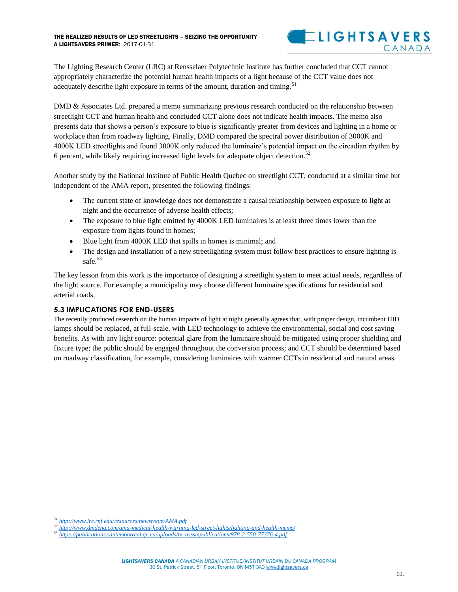

The Lighting Research Center (LRC) at Rensselaer Polytechnic Institute has further concluded that CCT cannot appropriately characterize the potential human health impacts of a light because of the CCT value does not adequately describe light exposure in terms of the amount, duration and timing.<sup>51</sup>

DMD & Associates Ltd. prepared a memo summarizing previous research conducted on the relationship between streetlight CCT and human health and concluded CCT alone does not indicate health impacts. The memo also presents data that shows a person's exposure to blue is significantly greater from devices and lighting in a home or workplace than from roadway lighting. Finally, DMD compared the spectral power distribution of 3000K and 4000K LED streetlights and found 3000K only reduced the luminaire's potential impact on the circadian rhythm by 6 percent, while likely requiring increased light levels for adequate object detection.<sup>52</sup>

Another study by the National Institute of Public Health Quebec on streetlight CCT, conducted at a similar time but independent of the AMA report, presented the following findings:

- The current state of knowledge does not demonstrate a causal relationship between exposure to light at night and the occurrence of adverse health effects;
- The exposure to blue light emitted by 4000K LED luminaires is at least three times lower than the exposure from lights found in homes;
- Blue light from 4000K LED that spills in homes is minimal; and
- The design and installation of a new streetlighting system must follow best practices to ensure lighting is safe.<sup>53</sup>

The key lesson from this work is the importance of designing a streetlight system to meet actual needs, regardless of the light source. For example, a municipality may choose different luminaire specifications for residential and arterial roads.

#### <span id="page-20-0"></span>**5.3 IMPLICATIONS FOR END-USERS**

The recently produced research on the human impacts of light at night generally agrees that, with proper design, incumbent HID lamps should be replaced, at full-scale, with LED technology to achieve the environmental, social and cost saving benefits. As with any light source: potential glare from the luminaire should be mitigated using proper shielding and fixture type; the public should be engaged throughout the conversion process; and CCT should be determined based on roadway classification, for example, considering luminaires with warmer CCTs in residential and natural areas.

 $\overline{\phantom{a}}$ *<sup>51</sup> <http://www.lrc.rpi.edu/resources/newsroom/AMA.pdf>*

*<sup>52</sup> <http://www.dmdeng.com/ama-medical-health-warning-led-street-lights/lighting-and-health-memo/>*

*<sup>53</sup> [https://publications.santemontreal.qc.ca/uploads/tx\\_asssmpublications/978-2-550-77376-4.pdf](https://publications.santemontreal.qc.ca/uploads/tx_asssmpublications/978-2-550-77376-4.pdf)*

*LIGHTSAVERS CANADA A CANADIAN URBAN INSTITUE/INSTITUT URBAIN DU CANADA PROGRAM* 30 St. Patrick Street, 5th Floor, Toronto, ON M5T 3A[3 www.lightsavers.ca](http://www.lightsavers.ca/)